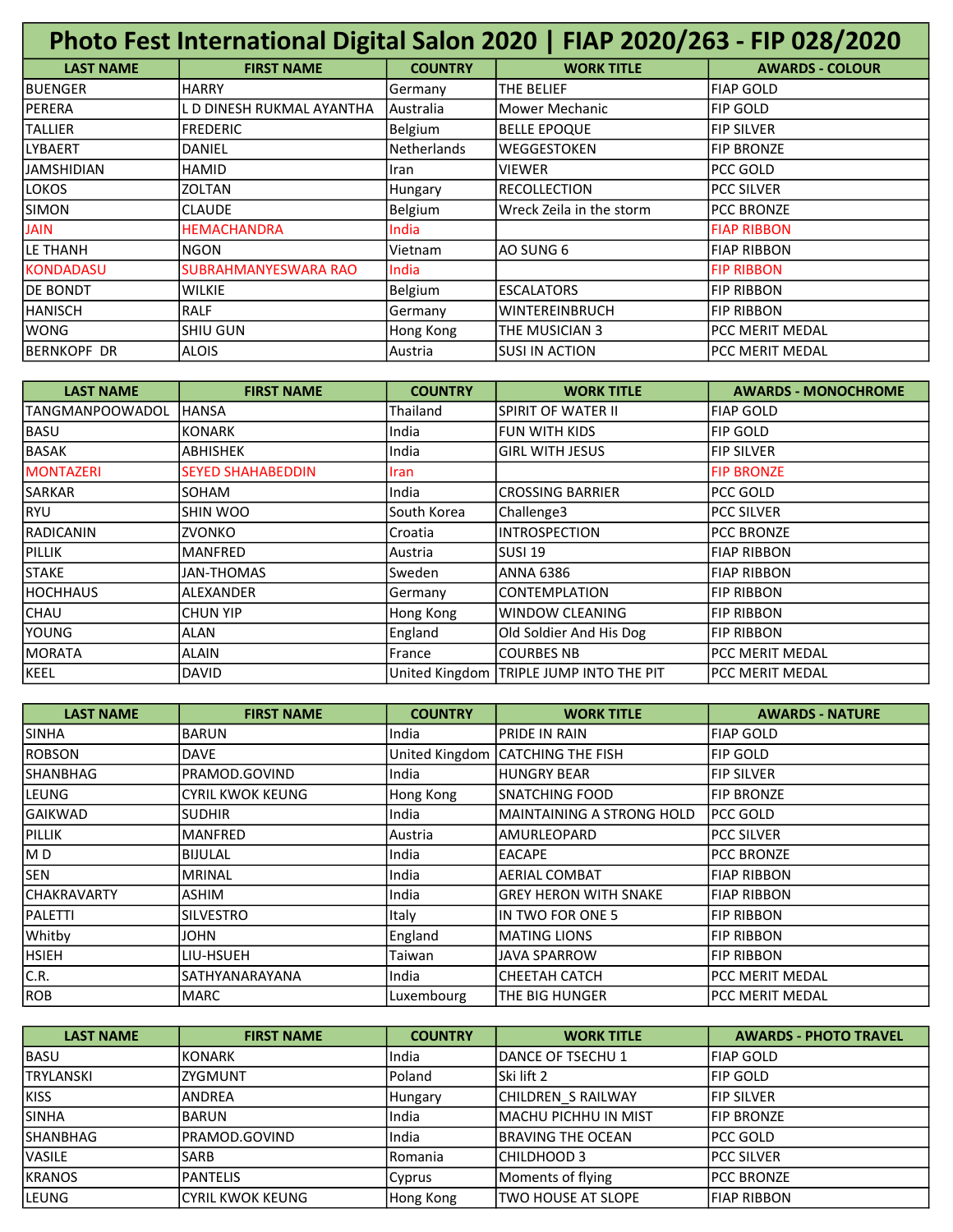| Photo Fest International Digital Salon 2020   FIAP 2020/263 - FIP 028/2020 |                           |                    |                          |                        |
|----------------------------------------------------------------------------|---------------------------|--------------------|--------------------------|------------------------|
| <b>LAST NAME</b>                                                           | <b>FIRST NAME</b>         | <b>COUNTRY</b>     | <b>WORK TITLE</b>        | <b>AWARDS - COLOUR</b> |
| <b>BUENGER</b>                                                             | <b>HARRY</b>              | Germany            | ITHE BELIEF              | <b>FIAP GOLD</b>       |
| PERERA                                                                     | L D DINESH RUKMAL AYANTHA | Australia          | lMower Mechanic          | <b>FIP GOLD</b>        |
| <b>TALLIER</b>                                                             | <b>FREDERIC</b>           | Belgium            | <b>BELLE EPOQUE</b>      | <b>FIP SILVER</b>      |
| LYBAERT                                                                    | DANIEL                    | <b>Netherlands</b> | <b>WEGGESTOKEN</b>       | <b>FIP BRONZE</b>      |
| <b>JAMSHIDIAN</b>                                                          | <b>HAMID</b>              | Iran               | <b>VIEWER</b>            | PCC GOLD               |
| LOKOS                                                                      | <b>ZOLTAN</b>             | <b>Hungary</b>     | <b>RECOLLECTION</b>      | <b>PCC SILVER</b>      |
| <b>SIMON</b>                                                               | <b>CLAUDE</b>             | Belgium            | Wreck Zeila in the storm | <b>PCC BRONZE</b>      |
| <b>JAIN</b>                                                                | <b>HEMACHANDRA</b>        | India              |                          | <b>FIAP RIBBON</b>     |
| LE THANH                                                                   | <b>NGON</b>               | Vietnam            | IAO SUNG 6               | <b>FIAP RIBBON</b>     |
| KONDADASU                                                                  | SUBRAHMANYESWARA RAO      | India              |                          | <b>FIP RIBBON</b>      |
| DE BONDT                                                                   | <b>WILKIE</b>             | Belgium            | <b>ESCALATORS</b>        | <b>FIP RIBBON</b>      |
| HANISCH                                                                    | <b>RALF</b>               | Germany            | <b>WINTEREINBRUCH</b>    | <b>FIP RIBBON</b>      |
| <b>WONG</b>                                                                | SHIU GUN                  | Hong Kong          | ITHE MUSICIAN 3          | <b>PCC MERIT MEDAL</b> |
| <b>BERNKOPF DR</b>                                                         | <b>ALOIS</b>              | l Austria          | ISUSI IN ACTION          | <b>PCC MERIT MEDAL</b> |

| <b>LAST NAME</b>  | <b>FIRST NAME</b>        | <b>COUNTRY</b> | <b>WORK TITLE</b>                         | <b>AWARDS - MONOCHROME</b> |
|-------------------|--------------------------|----------------|-------------------------------------------|----------------------------|
| ITANGMANPOOWADOL  | <b>HANSA</b>             | Thailand       | ISPIRIT OF WATER II                       | <b>FIAP GOLD</b>           |
| BASU              | <b>KONARK</b>            | India          | lfun with Kids                            | <b>FIP GOLD</b>            |
| BASAK             | <b>ABHISHEK</b>          | India          | lgirl with Jesus                          | <b>FIP SILVER</b>          |
| <b>MONTAZERI</b>  | <b>SEYED SHAHABEDDIN</b> | <b>Iran</b>    |                                           | <b>FIP BRONZE</b>          |
| <b>SARKAR</b>     | SOHAM                    | India          | lCROSSING BARRIER                         | PCC GOLD                   |
| RYU               | <b>SHIN WOO</b>          | South Korea    | Challenge3                                | <b>PCC SILVER</b>          |
| <b>IRADICANIN</b> | <b>ZVONKO</b>            | Croatia        | IINTROSPECTION                            | <b>PCC BRONZE</b>          |
| PILLIK            | <b>MANFRED</b>           | Austria        | lsusi 19                                  | <b>FIAP RIBBON</b>         |
| <b>STAKE</b>      | <b>JAN-THOMAS</b>        | Sweden         | ANNA 6386                                 | <b>FIAP RIBBON</b>         |
| <b>HOCHHAUS</b>   | ALEXANDER                | Germany        | <b>CONTEMPLATION</b>                      | <b>FIP RIBBON</b>          |
| <b>CHAU</b>       | CHUN YIP                 | Hong Kong      | lwindow CLEANING                          | <b>FIP RIBBON</b>          |
| <b>YOUNG</b>      | ALAN                     | England        | Old Soldier And His Dog                   | <b>FIP RIBBON</b>          |
| <b>IMORATA</b>    | <b>ALAIN</b>             | France         | ICOURBES NB                               | PCC MERIT MEDAL            |
| <b>KEEL</b>       | <b>DAVID</b>             |                | United Kingdom   TRIPLE JUMP INTO THE PIT | PCC MERIT MEDAL            |

| <b>LAST NAME</b> | <b>FIRST NAME</b>       | <b>COUNTRY</b> | <b>WORK TITLE</b>                  | <b>AWARDS - NATURE</b> |
|------------------|-------------------------|----------------|------------------------------------|------------------------|
| <b>SINHA</b>     | <b>BARUN</b>            | India          | IPRIDE IN RAIN                     | <b>FIAP GOLD</b>       |
| <b>ROBSON</b>    | <b>DAVE</b>             |                | United Kingdom   CATCHING THE FISH | <b>FIP GOLD</b>        |
| <b>ISHANBHAG</b> | PRAMOD.GOVIND           | India          | <b>HUNGRY BEAR</b>                 | <b>FIP SILVER</b>      |
| lleung           | <b>CYRIL KWOK KEUNG</b> | Hong Kong      | ISNATCHING FOOD                    | <b>FIP BRONZE</b>      |
| <b>GAIKWAD</b>   | <b>SUDHIR</b>           | India          | MAINTAINING A STRONG HOLD          | lpcc Gold              |
| <b>PILLIK</b>    | <b>MANFRED</b>          | lAustria       | AMURLEOPARD                        | <b>PCC SILVER</b>      |
| MD               | <b>BIJULAL</b>          | India          | <b>EACAPE</b>                      | <b>PCC BRONZE</b>      |
| <b>SEN</b>       | MRINAL                  | India          | IAERIAL COMBAT                     | <b>FIAP RIBBON</b>     |
| ICHAKRAVARTY     | <b>ASHIM</b>            | India          | lGREY HERON WITH SNAKE             | <b>FIAP RIBBON</b>     |
| <b>PALETTI</b>   | <b>SILVESTRO</b>        | <b>Italy</b>   | IIN TWO FOR ONE 5                  | <b>FIP RIBBON</b>      |
| Whitby           | <b>JOHN</b>             | England        | <b>IMATING LIONS</b>               | <b>FIP RIBBON</b>      |
| <b>HSIEH</b>     | LIU-HSUEH               | Taiwan         | <b>JJAVA SPARROW</b>               | <b>FIP RIBBON</b>      |
| C.R.             | SATHYANARAYANA          | India          | ІСНЕЕТАН САТСН                     | PCC MERIT MEDAL        |
| <b>ROB</b>       | <b>MARC</b>             | Luxembourg     | ITHE BIG HUNGER                    | PCC MERIT MEDAL        |

| <b>LAST NAME</b> | <b>FIRST NAME</b>       | <b>COUNTRY</b> | <b>WORK TITLE</b>     | <b>AWARDS - PHOTO TRAVEL</b> |
|------------------|-------------------------|----------------|-----------------------|------------------------------|
| BASU             | KONARK                  | India          | IDANCE OF TSECHU 1    | IFIAP GOLD                   |
| <b>TRYLANSKI</b> | ZYGMUNT                 | Poland         | lSki lift 2           | <b>IFIP GOLD</b>             |
| <b>KISS</b>      | <b>ANDREA</b>           | Hungary        | CHILDREN S RAILWAY    | <b>IFIP SILVER</b>           |
| <b>SINHA</b>     | BARUN                   | lIndia         | lMACHU PICHHU IN MIST | <b>IFIP BRONZE</b>           |
| SHANBHAG         | PRAMOD.GOVIND           | India          | IBRAVING THE OCEAN    | <b>IPCC GOLD</b>             |
| <b>VASILE</b>    | <b>SARB</b>             | l Romania      | ICHILDHOOD 3          | <b>IPCC SILVER</b>           |
| <b>KRANOS</b>    | <b>PANTELIS</b>         | Cyprus         | Moments of flying     | <b>IPCC BRONZE</b>           |
| LEUNG            | <b>CYRIL KWOK KEUNG</b> | Hong Kong      | lTWO HOUSE AT SLOPE   | <b>IFIAP RIBBON</b>          |